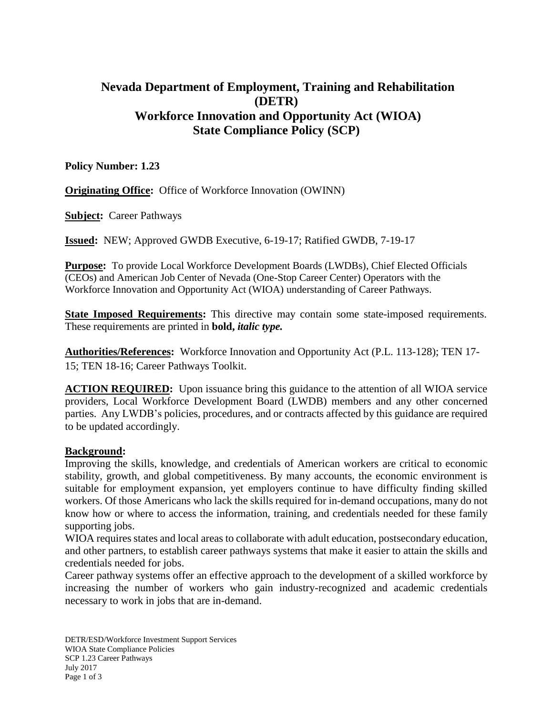# **Nevada Department of Employment, Training and Rehabilitation (DETR) Workforce Innovation and Opportunity Act (WIOA) State Compliance Policy (SCP)**

**Policy Number: 1.23**

**Originating Office:** Office of Workforce Innovation (OWINN)

**Subject:** Career Pathways

**Issued:** NEW; Approved GWDB Executive, 6-19-17; Ratified GWDB, 7-19-17

**Purpose:** To provide Local Workforce Development Boards (LWDBs), Chief Elected Officials (CEOs) and American Job Center of Nevada (One-Stop Career Center) Operators with the Workforce Innovation and Opportunity Act (WIOA) understanding of Career Pathways.

**State Imposed Requirements:** This directive may contain some state-imposed requirements. These requirements are printed in **bold,** *italic type.*

**Authorities/References:** Workforce Innovation and Opportunity Act (P.L. 113-128); TEN 17- 15; TEN 18-16; Career Pathways Toolkit.

**ACTION REQUIRED:** Upon issuance bring this guidance to the attention of all WIOA service providers, Local Workforce Development Board (LWDB) members and any other concerned parties. Any LWDB's policies, procedures, and or contracts affected by this guidance are required to be updated accordingly.

### **Background:**

Improving the skills, knowledge, and credentials of American workers are critical to economic stability, growth, and global competitiveness. By many accounts, the economic environment is suitable for employment expansion, yet employers continue to have difficulty finding skilled workers. Of those Americans who lack the skills required for in-demand occupations, many do not know how or where to access the information, training, and credentials needed for these family supporting jobs.

WIOA requires states and local areas to collaborate with adult education, postsecondary education, and other partners, to establish career pathways systems that make it easier to attain the skills and credentials needed for jobs.

 Career pathway systems offer an effective approach to the development of a skilled workforce by increasing the number of workers who gain industry-recognized and academic credentials necessary to work in jobs that are in-demand.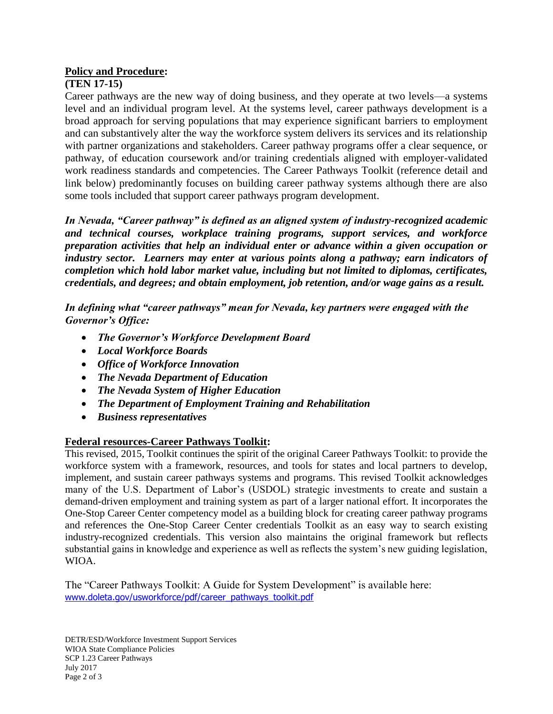# **Policy and Procedure:**

## **(TEN 17-15)**

Career pathways are the new way of doing business, and they operate at two levels—a systems level and an individual program level. At the systems level, career pathways development is a broad approach for serving populations that may experience significant barriers to employment and can substantively alter the way the workforce system delivers its services and its relationship with partner organizations and stakeholders. Career pathway programs offer a clear sequence, or pathway, of education coursework and/or training credentials aligned with employer-validated work readiness standards and competencies. The Career Pathways Toolkit (reference detail and link below) predominantly focuses on building career pathway systems although there are also some tools included that support career pathways program development.

*In Nevada, "Career pathway" is defined as an aligned system of industry-recognized academic and technical courses, workplace training programs, support services, and workforce preparation activities that help an individual enter or advance within a given occupation or industry sector. Learners may enter at various points along a pathway; earn indicators of completion which hold labor market value, including but not limited to diplomas, certificates, credentials, and degrees; and obtain employment, job retention, and/or wage gains as a result.*

*In defining what "career pathways" mean for Nevada, key partners were engaged with the Governor's Office:*

- *The Governor's Workforce Development Board*
- *Local Workforce Boards*
- *Office of Workforce Innovation*
- *The Nevada Department of Education*
- *The Nevada System of Higher Education*
- *The Department of Employment Training and Rehabilitation*
- *Business representatives*

# **Federal resources-Career Pathways Toolkit:**

This revised, 2015, Toolkit continues the spirit of the original Career Pathways Toolkit: to provide the workforce system with a framework, resources, and tools for states and local partners to develop, implement, and sustain career pathways systems and programs. This revised Toolkit acknowledges many of the U.S. Department of Labor's (USDOL) strategic investments to create and sustain a demand-driven employment and training system as part of a larger national effort. It incorporates the One-Stop Career Center competency model as a building block for creating career pathway programs and references the One-Stop Career Center credentials Toolkit as an easy way to search existing industry-recognized credentials. This version also maintains the original framework but reflects substantial gains in knowledge and experience as well as reflects the system's new guiding legislation, WIOA.

The "Career Pathways Toolkit: A Guide for System Development" is available here: [www.doleta.gov/usworkforce/pdf/career\\_pathways\\_toolkit.pdf](http://www.doleta.gov/usworkforce/pdf/career_pathways_toolkit.pdf)